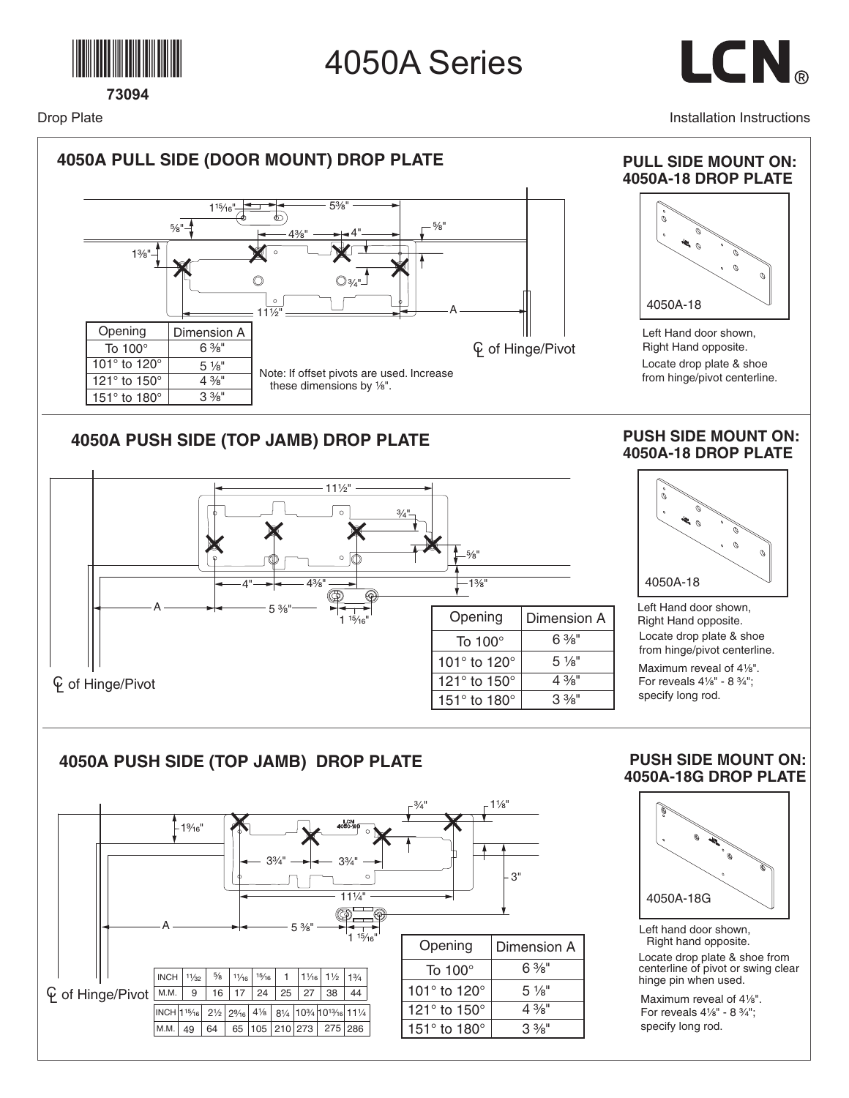

Drop Plate



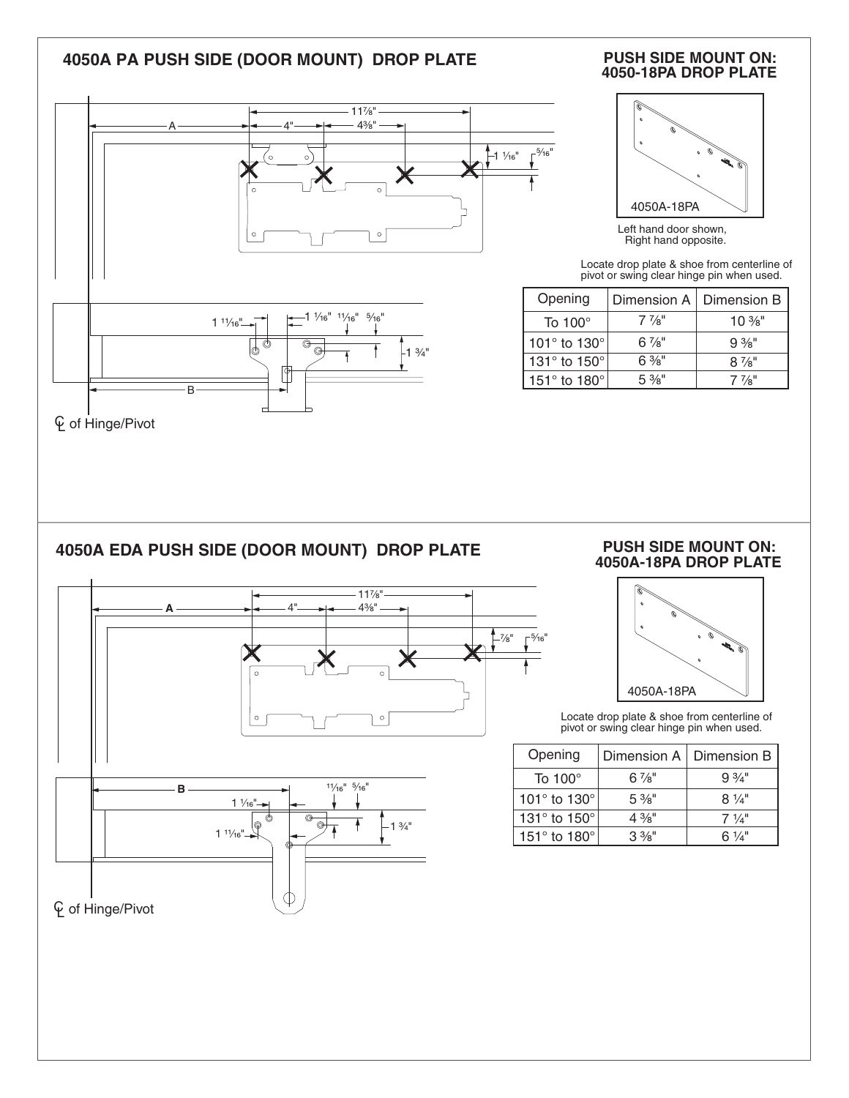### **4050A PA PUSH SIDE (DOOR MOUNT) DROP PLATE**





# **PUSH SIDE MOUNT ON:**



Left hand door shown, Right hand opposite.

Locate drop plate & shoe from centerline of pivot or swing clear hinge pin when used.

| Opening                          | Dimension A      | Dimension B      |
|----------------------------------|------------------|------------------|
| To $100^\circ$                   | $7\frac{7}{8}$ " | $10\%$ "         |
| 101 $^{\circ}$ to 130 $^{\circ}$ | $6\frac{7}{8}$ " | $9\frac{3}{8}$ " |
| 131° to 150°                     | $6\%$ "          | $8\frac{7}{8}$ " |
| 151 $\degree$ to 180 $\degree$   | $5\frac{3}{8}$ " | $7\frac{7}{8}$ " |

### **4050A EDA PUSH SIDE (DOOR MOUNT) DROP PLATE**



#### **PUSH SIDE MOUNT ON: 4050A-18PA DROP PLATE**



Locate drop plate & shoe from centerline of pivot or swing clear hinge pin when used.

| Opening                        | Dimension A      | Dimension B     |
|--------------------------------|------------------|-----------------|
| To $100^\circ$                 | $6\frac{7}{8}$ " | $9.3/1$ "       |
| 101 $\degree$ to 130 $\degree$ | $5\frac{3}{8}$ " | $8\frac{1}{4}$  |
| 131 $\degree$ to 150 $\degree$ | $4\frac{3}{8}$ " | $7 \frac{1}{4}$ |
| 151 $\degree$ to 180 $\degree$ | $3\frac{3}{8}$ " | 6 ¼"            |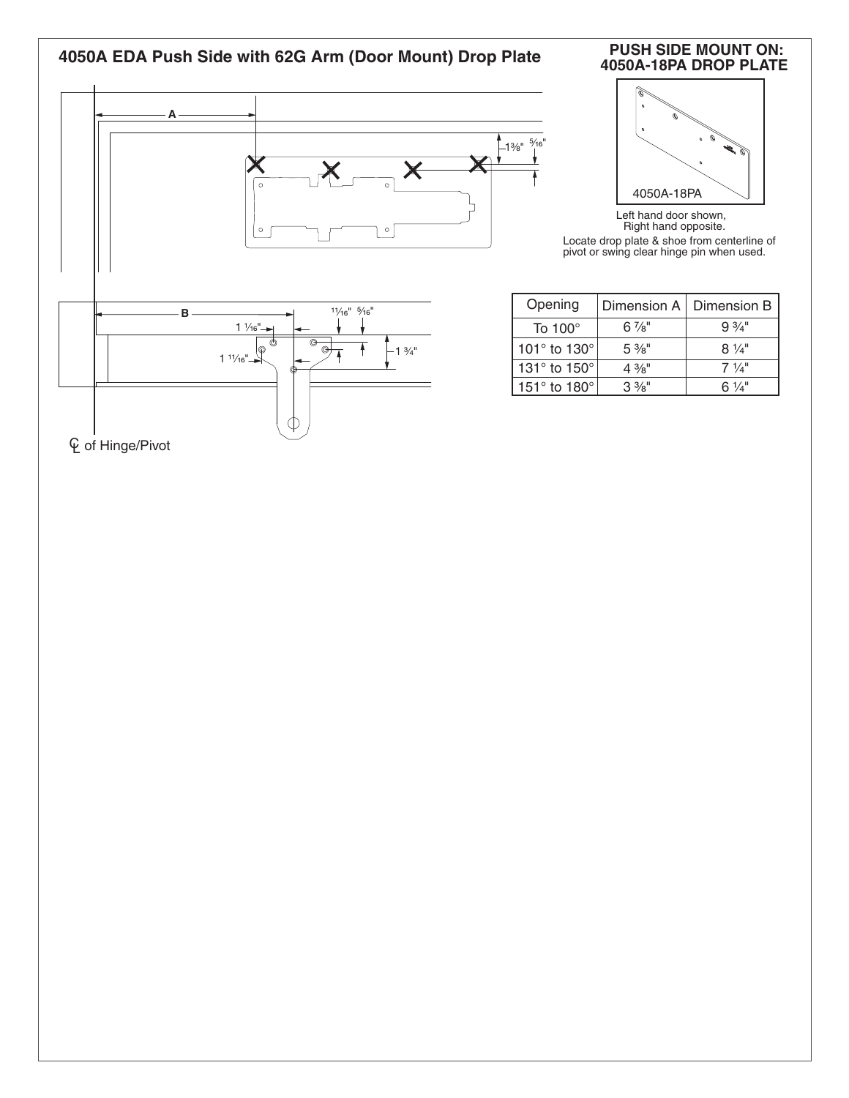

| <b>PUSH SIDE MOUNT ON:</b> |
|----------------------------|
| 4050A-18PA DROP PLATE      |



Left hand door shown, Right hand opposite. Locate drop plate & shoe from centerline of pivot or swing clear hinge pin when used.

| Opening                        | Dimension A      | Dimension B      |
|--------------------------------|------------------|------------------|
| To 100 $^{\circ}$              | $6\frac{7}{8}$ " | $9\frac{3}{4}$ " |
| 101 $\degree$ to 130 $\degree$ | $5\%$ "          | $8\frac{1}{4}$   |
| 131° to 150°                   | $4\frac{3}{8}$ " | $7\frac{1}{4}$   |
| 151 $\degree$ to 180 $\degree$ | $3\%$ "          | 6 $\frac{1}{4}$  |

 $C$  of Hinge/Pivot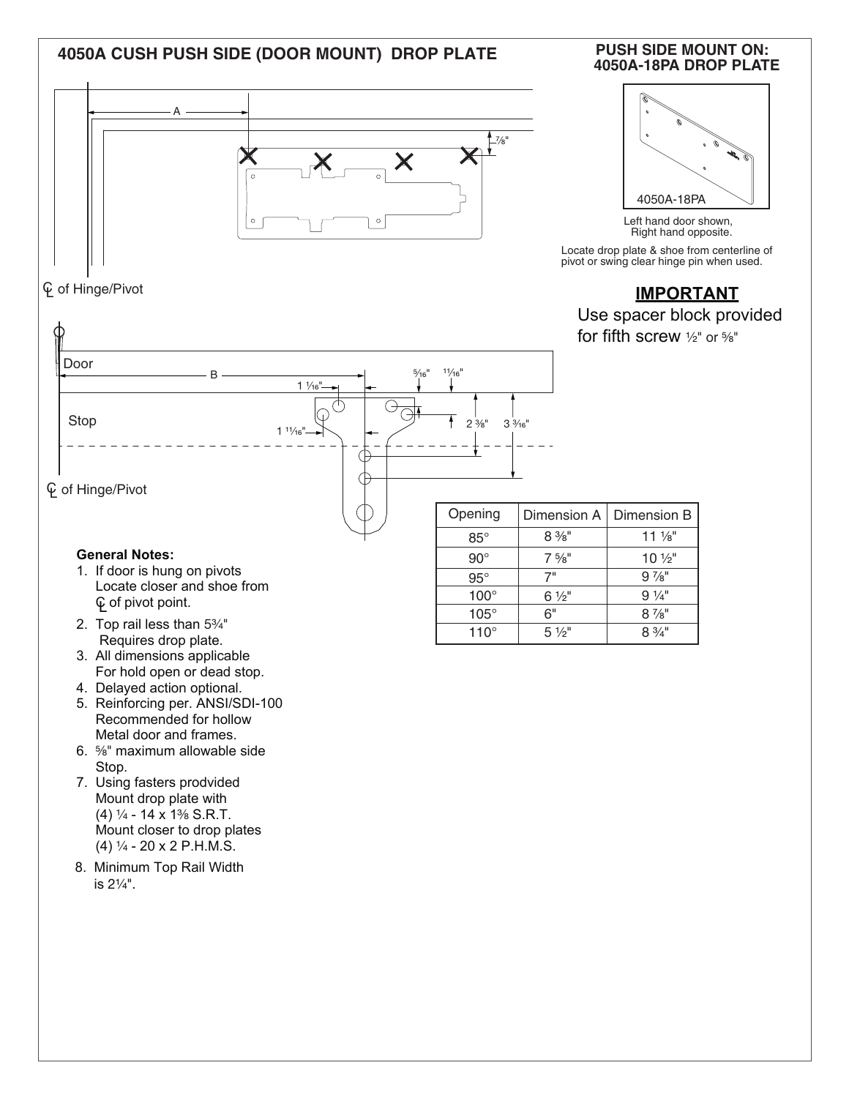### **4050A-18PA DROP PLATE 4050A CUSH PUSH SIDE (DOOR MOUNT) DROP PLATE**



### CL of Hinge/Pivot





Left hand door shown, Right hand opposite.

Locate drop plate & shoe from centerline of pivot or swing clear hinge pin when used.

## **IMPORTANT**

Use spacer block provided

for fifth screw  $\frac{1}{2}$ " or  $\frac{5}{8}$ "



- $\operatorname{\mathsf{\mathfrak{C}}}$  of pivot point.
- 2. Top rail less than  $5\frac{3}{4}$ " Requires drop plate.
- 3. All dimensions applicable For hold open or dead stop.
- 4. Delayed action optional.
- 5. Reinforcing per. ANSI/SDI-100 Recommended for hollow Metal door and frames.
- 6. ⁵⁄₈" maximum allowable side Stop.
- 7. Using fasters prodvided Mount drop plate with (4)  $\frac{1}{4}$  - 14 x 1<sup>3</sup>/<sub>8</sub> S.R.T. Mount closer to drop plates  $(4)$   $\frac{1}{4}$  - 20 x 2 P.H.M.S.
- 8. Minimum Top Rail Width is 21⁄4".

| Opening     | Dimension A      | Dimension B       |
|-------------|------------------|-------------------|
| $85^\circ$  | $8\%$ "          | $11\frac{1}{8}$   |
| $90^\circ$  | $7\frac{5}{8}$ " | $10\frac{1}{2}$ " |
| $95^\circ$  | 7"               | $9\frac{7}{8}$ "  |
| $100^\circ$ | $6\frac{1}{2}$ " | $9\frac{1}{4}$    |
| $105^\circ$ | 6"               | $8\frac{7}{8}$ "  |
| $110^\circ$ | $5\frac{1}{9}$   | $8\frac{3}{4}$ "  |